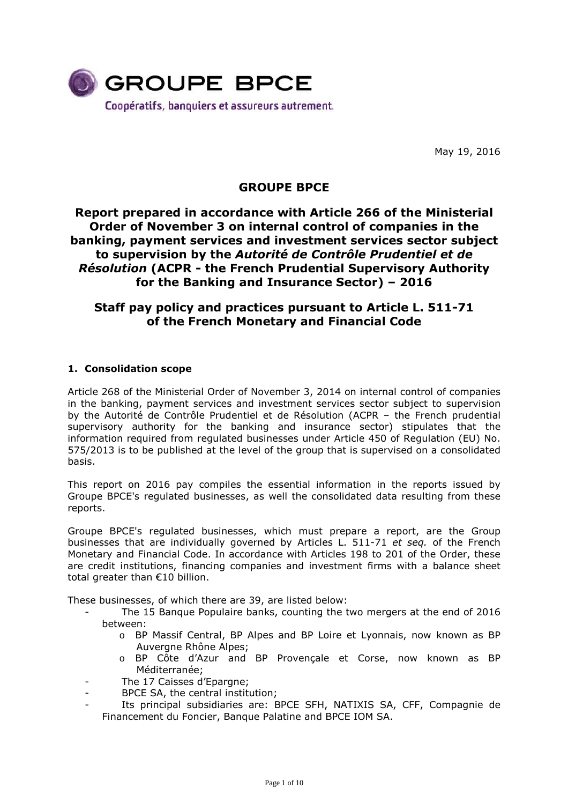

May 19, 2016

# **GROUPE BPCE**

**Report prepared in accordance with Article 266 of the Ministerial Order of November 3 on internal control of companies in the banking, payment services and investment services sector subject to supervision by the** *Autorité de Contrôle Prudentiel et de Résolution* **(ACPR - the French Prudential Supervisory Authority for the Banking and Insurance Sector) – 2016** 

# **Staff pay policy and practices pursuant to Article L. 511-71 of the French Monetary and Financial Code**

## **1. Consolidation scope**

Article 268 of the Ministerial Order of November 3, 2014 on internal control of companies in the banking, payment services and investment services sector subject to supervision by the Autorité de Contrôle Prudentiel et de Résolution (ACPR – the French prudential supervisory authority for the banking and insurance sector) stipulates that the information required from regulated businesses under Article 450 of Regulation (EU) No. 575/2013 is to be published at the level of the group that is supervised on a consolidated basis.

This report on 2016 pay compiles the essential information in the reports issued by Groupe BPCE's regulated businesses, as well the consolidated data resulting from these reports.

Groupe BPCE's regulated businesses, which must prepare a report, are the Group businesses that are individually governed by Articles L. 511-71 *et seq.* of the French Monetary and Financial Code. In accordance with Articles 198 to 201 of the Order, these are credit institutions, financing companies and investment firms with a balance sheet total greater than €10 billion.

These businesses, of which there are 39, are listed below:

- The 15 Banque Populaire banks, counting the two mergers at the end of 2016 between:
	- o BP Massif Central, BP Alpes and BP Loire et Lyonnais, now known as BP Auvergne Rhône Alpes;
	- o BP Côte d'Azur and BP Provençale et Corse, now known as BP Méditerranée;
- The 17 Caisses d'Epargne;
- BPCE SA, the central institution;
- Its principal subsidiaries are: BPCE SFH, NATIXIS SA, CFF, Compagnie de Financement du Foncier, Banque Palatine and BPCE IOM SA.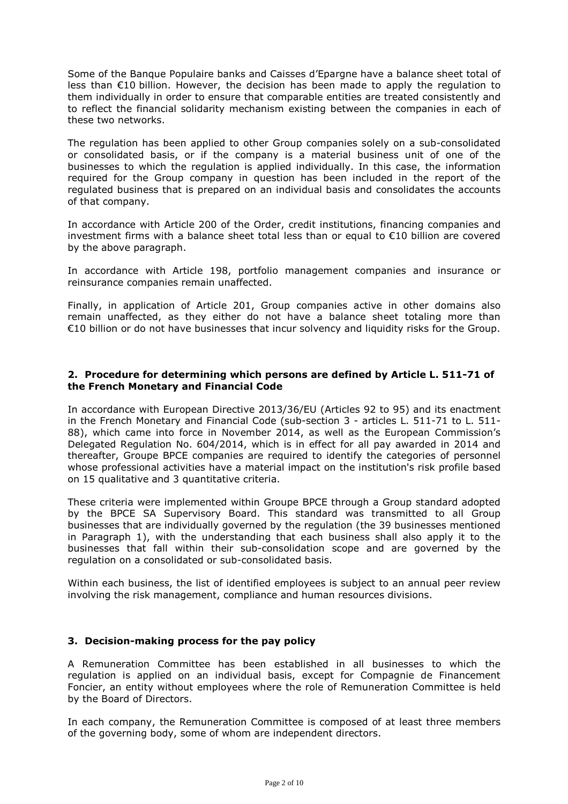Some of the Banque Populaire banks and Caisses d'Epargne have a balance sheet total of less than €10 billion. However, the decision has been made to apply the regulation to them individually in order to ensure that comparable entities are treated consistently and to reflect the financial solidarity mechanism existing between the companies in each of these two networks.

The regulation has been applied to other Group companies solely on a sub-consolidated or consolidated basis, or if the company is a material business unit of one of the businesses to which the regulation is applied individually. In this case, the information required for the Group company in question has been included in the report of the regulated business that is prepared on an individual basis and consolidates the accounts of that company.

In accordance with Article 200 of the Order, credit institutions, financing companies and investment firms with a balance sheet total less than or equal to €10 billion are covered by the above paragraph.

In accordance with Article 198, portfolio management companies and insurance or reinsurance companies remain unaffected.

Finally, in application of Article 201, Group companies active in other domains also remain unaffected, as they either do not have a balance sheet totaling more than €10 billion or do not have businesses that incur solvency and liquidity risks for the Group.

## **2. Procedure for determining which persons are defined by Article L. 511-71 of the French Monetary and Financial Code**

In accordance with European Directive 2013/36/EU (Articles 92 to 95) and its enactment in the French Monetary and Financial Code (sub-section 3 - articles L. 511-71 to L. 511- 88), which came into force in November 2014, as well as the European Commission's Delegated Regulation No. 604/2014, which is in effect for all pay awarded in 2014 and thereafter, Groupe BPCE companies are required to identify the categories of personnel whose professional activities have a material impact on the institution's risk profile based on 15 qualitative and 3 quantitative criteria.

These criteria were implemented within Groupe BPCE through a Group standard adopted by the BPCE SA Supervisory Board. This standard was transmitted to all Group businesses that are individually governed by the regulation (the 39 businesses mentioned in Paragraph 1), with the understanding that each business shall also apply it to the businesses that fall within their sub-consolidation scope and are governed by the regulation on a consolidated or sub-consolidated basis.

Within each business, the list of identified employees is subject to an annual peer review involving the risk management, compliance and human resources divisions.

## **3. Decision-making process for the pay policy**

A Remuneration Committee has been established in all businesses to which the regulation is applied on an individual basis, except for Compagnie de Financement Foncier, an entity without employees where the role of Remuneration Committee is held by the Board of Directors.

In each company, the Remuneration Committee is composed of at least three members of the governing body, some of whom are independent directors.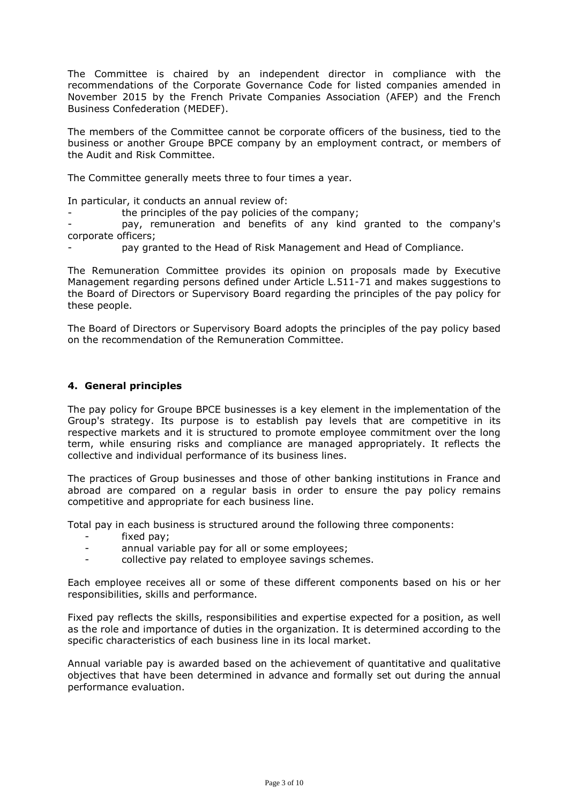The Committee is chaired by an independent director in compliance with the recommendations of the Corporate Governance Code for listed companies amended in November 2015 by the French Private Companies Association (AFEP) and the French Business Confederation (MEDEF).

The members of the Committee cannot be corporate officers of the business, tied to the business or another Groupe BPCE company by an employment contract, or members of the Audit and Risk Committee.

The Committee generally meets three to four times a year.

In particular, it conducts an annual review of:

the principles of the pay policies of the company;

pay, remuneration and benefits of any kind granted to the company's corporate officers;

pay granted to the Head of Risk Management and Head of Compliance.

The Remuneration Committee provides its opinion on proposals made by Executive Management regarding persons defined under Article L.511-71 and makes suggestions to the Board of Directors or Supervisory Board regarding the principles of the pay policy for these people.

The Board of Directors or Supervisory Board adopts the principles of the pay policy based on the recommendation of the Remuneration Committee.

# **4. General principles**

The pay policy for Groupe BPCE businesses is a key element in the implementation of the Group's strategy. Its purpose is to establish pay levels that are competitive in its respective markets and it is structured to promote employee commitment over the long term, while ensuring risks and compliance are managed appropriately. It reflects the collective and individual performance of its business lines.

The practices of Group businesses and those of other banking institutions in France and abroad are compared on a regular basis in order to ensure the pay policy remains competitive and appropriate for each business line.

Total pay in each business is structured around the following three components:

- fixed pay;
- annual variable pay for all or some employees;
- collective pay related to employee savings schemes.

Each employee receives all or some of these different components based on his or her responsibilities, skills and performance.

Fixed pay reflects the skills, responsibilities and expertise expected for a position, as well as the role and importance of duties in the organization. It is determined according to the specific characteristics of each business line in its local market.

Annual variable pay is awarded based on the achievement of quantitative and qualitative objectives that have been determined in advance and formally set out during the annual performance evaluation.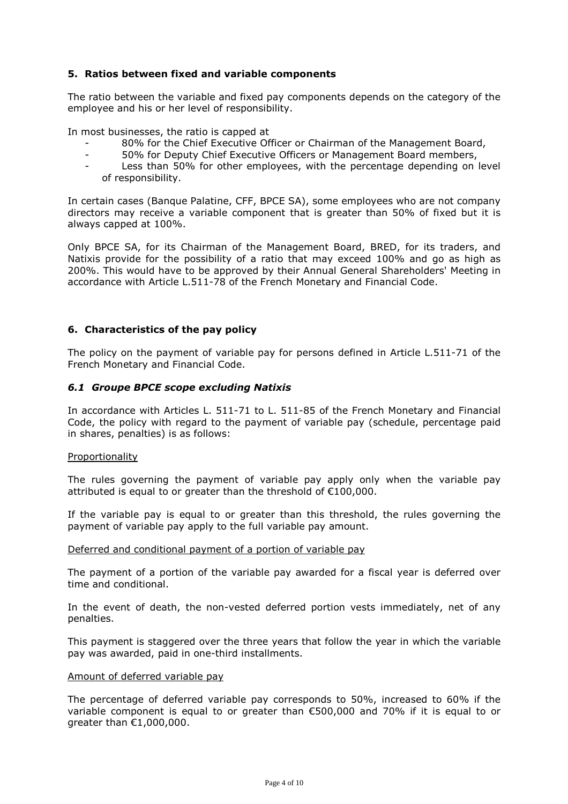## **5. Ratios between fixed and variable components**

The ratio between the variable and fixed pay components depends on the category of the employee and his or her level of responsibility.

In most businesses, the ratio is capped at

- 80% for the Chief Executive Officer or Chairman of the Management Board,
- 50% for Deputy Chief Executive Officers or Management Board members,
- Less than 50% for other employees, with the percentage depending on level of responsibility.

In certain cases (Banque Palatine, CFF, BPCE SA), some employees who are not company directors may receive a variable component that is greater than 50% of fixed but it is always capped at 100%.

Only BPCE SA, for its Chairman of the Management Board, BRED, for its traders, and Natixis provide for the possibility of a ratio that may exceed 100% and go as high as 200%. This would have to be approved by their Annual General Shareholders' Meeting in accordance with Article L.511-78 of the French Monetary and Financial Code.

## **6. Characteristics of the pay policy**

The policy on the payment of variable pay for persons defined in Article L.511-71 of the French Monetary and Financial Code.

## *6.1 Groupe BPCE scope excluding Natixis*

In accordance with Articles L. 511-71 to L. 511-85 of the French Monetary and Financial Code, the policy with regard to the payment of variable pay (schedule, percentage paid in shares, penalties) is as follows:

## Proportionality

The rules governing the payment of variable pay apply only when the variable pay attributed is equal to or greater than the threshold of €100,000.

If the variable pay is equal to or greater than this threshold, the rules governing the payment of variable pay apply to the full variable pay amount.

#### Deferred and conditional payment of a portion of variable pay

The payment of a portion of the variable pay awarded for a fiscal year is deferred over time and conditional.

In the event of death, the non-vested deferred portion vests immediately, net of any penalties.

This payment is staggered over the three years that follow the year in which the variable pay was awarded, paid in one-third installments.

#### Amount of deferred variable pay

The percentage of deferred variable pay corresponds to 50%, increased to 60% if the variable component is equal to or greater than €500,000 and 70% if it is equal to or greater than €1,000,000.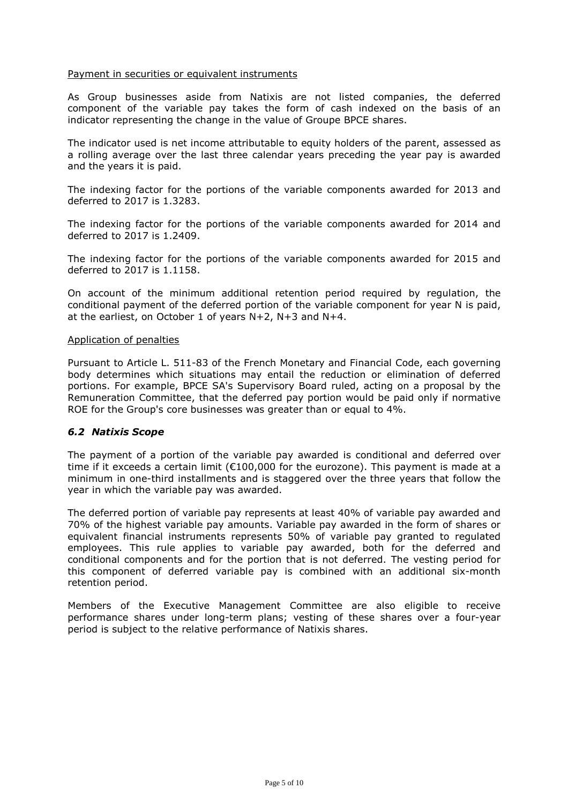### Payment in securities or equivalent instruments

As Group businesses aside from Natixis are not listed companies, the deferred component of the variable pay takes the form of cash indexed on the basis of an indicator representing the change in the value of Groupe BPCE shares.

The indicator used is net income attributable to equity holders of the parent, assessed as a rolling average over the last three calendar years preceding the year pay is awarded and the years it is paid.

The indexing factor for the portions of the variable components awarded for 2013 and deferred to 2017 is 1.3283.

The indexing factor for the portions of the variable components awarded for 2014 and deferred to 2017 is 1.2409.

The indexing factor for the portions of the variable components awarded for 2015 and deferred to 2017 is 1.1158.

On account of the minimum additional retention period required by regulation, the conditional payment of the deferred portion of the variable component for year N is paid, at the earliest, on October 1 of years N+2, N+3 and N+4.

#### Application of penalties

Pursuant to Article L. 511-83 of the French Monetary and Financial Code, each governing body determines which situations may entail the reduction or elimination of deferred portions. For example, BPCE SA's Supervisory Board ruled, acting on a proposal by the Remuneration Committee, that the deferred pay portion would be paid only if normative ROE for the Group's core businesses was greater than or equal to 4%.

## *6.2 Natixis Scope*

The payment of a portion of the variable pay awarded is conditional and deferred over time if it exceeds a certain limit (€100,000 for the eurozone). This payment is made at a minimum in one-third installments and is staggered over the three years that follow the year in which the variable pay was awarded.

The deferred portion of variable pay represents at least 40% of variable pay awarded and 70% of the highest variable pay amounts. Variable pay awarded in the form of shares or equivalent financial instruments represents 50% of variable pay granted to regulated employees. This rule applies to variable pay awarded, both for the deferred and conditional components and for the portion that is not deferred. The vesting period for this component of deferred variable pay is combined with an additional six-month retention period.

Members of the Executive Management Committee are also eligible to receive performance shares under long-term plans; vesting of these shares over a four-year period is subject to the relative performance of Natixis shares.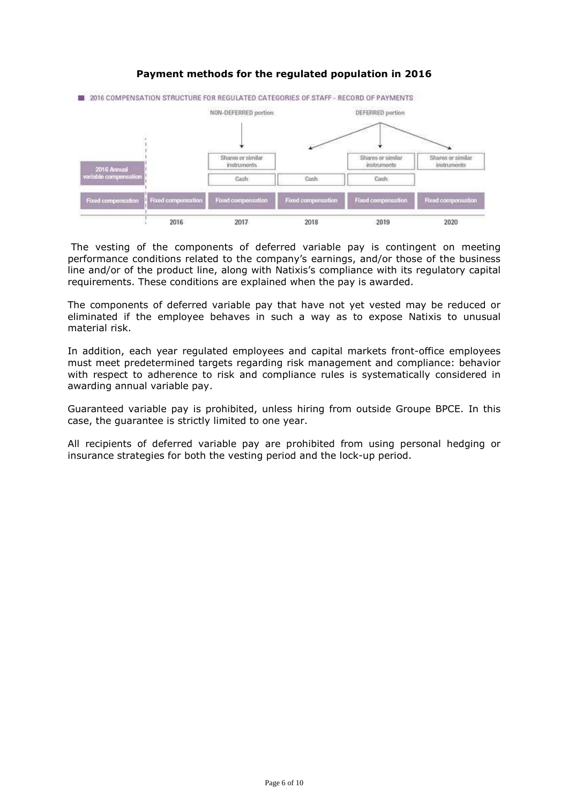## **Payment methods for the regulated population in 2016**



 The vesting of the components of deferred variable pay is contingent on meeting performance conditions related to the company's earnings, and/or those of the business line and/or of the product line, along with Natixis's compliance with its regulatory capital requirements. These conditions are explained when the pay is awarded.

The components of deferred variable pay that have not yet vested may be reduced or eliminated if the employee behaves in such a way as to expose Natixis to unusual material risk.

In addition, each year regulated employees and capital markets front-office employees must meet predetermined targets regarding risk management and compliance: behavior with respect to adherence to risk and compliance rules is systematically considered in awarding annual variable pay.

Guaranteed variable pay is prohibited, unless hiring from outside Groupe BPCE. In this case, the guarantee is strictly limited to one year.

All recipients of deferred variable pay are prohibited from using personal hedging or insurance strategies for both the vesting period and the lock-up period.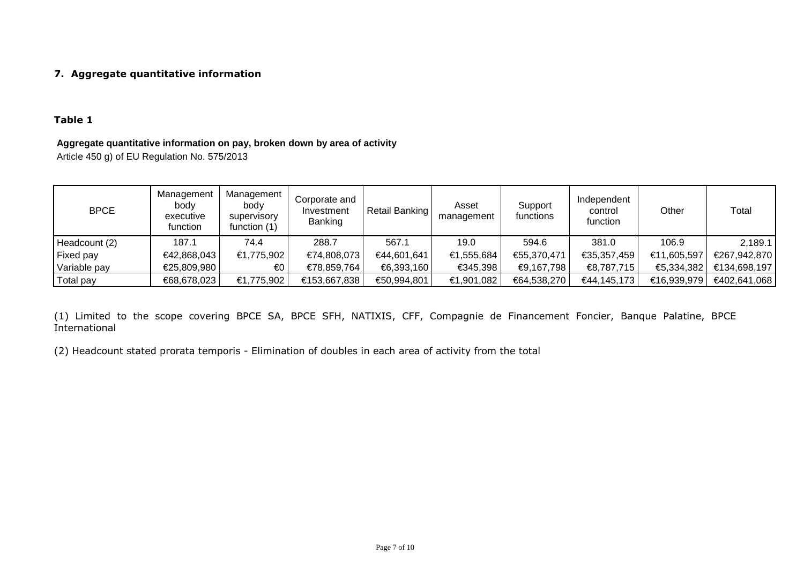# **7. Aggregate quantitative information**

# **Table 1**

### **Aggregate quantitative information on pay, broken down by area of activity**

Article 450 g) of EU Regulation No. 575/2013

| <b>BPCE</b>      | Management<br>bodv<br>executive<br>function | Management<br>body<br>supervisory<br>function (1) | Corporate and<br>Investment<br>Banking | Retail Banking | Asset<br>management | Support<br>functions | Independent<br>control<br>function | Other       | Total        |
|------------------|---------------------------------------------|---------------------------------------------------|----------------------------------------|----------------|---------------------|----------------------|------------------------------------|-------------|--------------|
| Headcount (2)    | 187.1                                       | 74.4                                              | 288.7                                  | 567.1          | 19.0                | 594.6                | 381.0                              | 106.9       | 2,189.1      |
| <b>Fixed pay</b> | €42,868,043                                 | €1,775,902                                        | €74,808,073                            | €44,601,641    | €1,555,684          | €55,370,471          | €35,357,459                        | €11,605,597 | €267,942,870 |
| Variable pay     | €25,809,980                                 | €0                                                | €78,859,764                            | €6,393,160     | €345,398            | €9,167,798           | €8,787,715                         | €5,334,382  | €134,698,197 |
| Total pay        | €68,678,023                                 | €1,775,902                                        | €153,667,838                           | €50,994,801    | €1,901,082          | €64,538,270          | €44,145,173                        | €16,939,979 | €402,641,068 |

(1) Limited to the scope covering BPCE SA, BPCE SFH, NATIXIS, CFF, Compagnie de Financement Foncier, Banque Palatine, BPCE International

(2) Headcount stated prorata temporis - Elimination of doubles in each area of activity from the total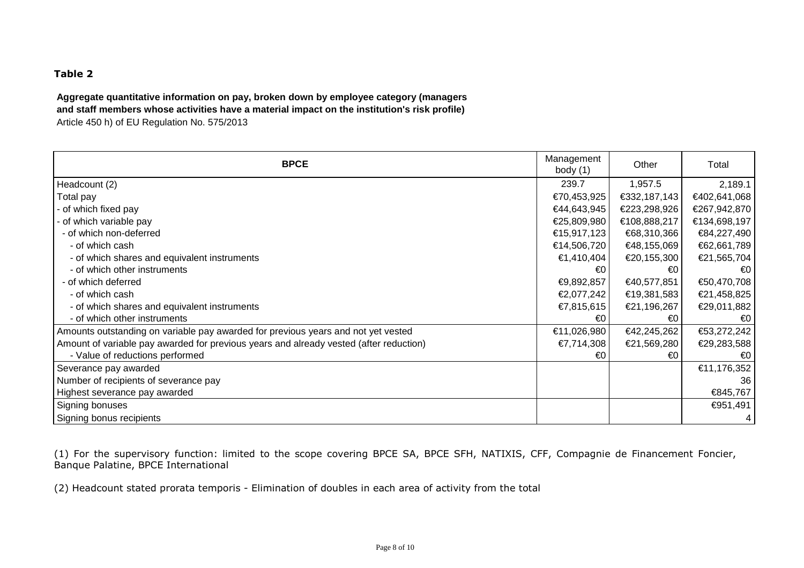# **Table 2**

**Aggregate quantitative information on pay, broken down by employee category (managers and staff members whose activities have a material impact on the institution's risk profile)** Article 450 h) of EU Regulation No. 575/2013

| <b>BPCE</b>                                                                            | Management<br>body $(1)$ | Other        | Total          |
|----------------------------------------------------------------------------------------|--------------------------|--------------|----------------|
| Headcount (2)                                                                          | 239.7                    | 1,957.5      | 2,189.1        |
| Total pay                                                                              | €70,453,925              | €332,187,143 | €402,641,068   |
| - of which fixed pay                                                                   | €44,643,945              | €223,298,926 | €267,942,870   |
| - of which variable pay                                                                | €25,809,980              | €108,888,217 | €134,698,197   |
| - of which non-deferred                                                                | €15,917,123              | €68,310,366  | €84,227,490    |
| - of which cash                                                                        | €14,506,720              | €48,155,069  | €62,661,789    |
| - of which shares and equivalent instruments                                           | €1,410,404               | €20,155,300  | €21,565,704    |
| - of which other instruments                                                           | €0                       | €0           | €0             |
| - of which deferred                                                                    | €9,892,857               | €40,577,851  | €50,470,708    |
| - of which cash                                                                        | €2,077,242               | €19,381,583  | €21,458,825    |
| - of which shares and equivalent instruments                                           | €7,815,615               | €21,196,267  | €29,011,882    |
| - of which other instruments                                                           | €0                       | €0           | €0             |
| Amounts outstanding on variable pay awarded for previous years and not yet vested      | €11,026,980              | €42,245,262  | €53,272,242    |
| Amount of variable pay awarded for previous years and already vested (after reduction) | €7,714,308               | €21,569,280  | €29,283,588    |
| - Value of reductions performed                                                        | €0                       | €0           | €0             |
| Severance pay awarded                                                                  |                          |              | €11,176,352    |
| Number of recipients of severance pay                                                  |                          |              | 36             |
| Highest severance pay awarded                                                          |                          |              | €845,767       |
| Signing bonuses                                                                        |                          |              | €951,491       |
| Signing bonus recipients                                                               |                          |              | 4 <sup>1</sup> |

(1) For the supervisory function: limited to the scope covering BPCE SA, BPCE SFH, NATIXIS, CFF, Compagnie de Financement Foncier, Banque Palatine, BPCE International

(2) Headcount stated prorata temporis - Elimination of doubles in each area of activity from the total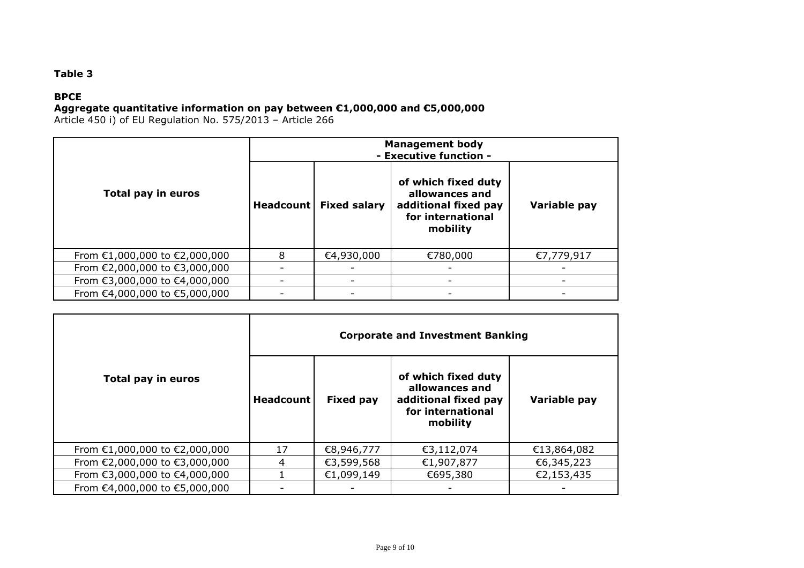# **Table 3**

# **BPCE**

## **Aggregate quantitative information on pay between €1,000,000 and €5,000,000**

Article 450 i) of EU Regulation No. 575/2013 – Article 266

|                               | <b>Management body</b><br>- Executive function - |                          |                                                                                                |              |  |  |
|-------------------------------|--------------------------------------------------|--------------------------|------------------------------------------------------------------------------------------------|--------------|--|--|
| Total pay in euros            |                                                  | Headcount   Fixed salary | of which fixed duty<br>allowances and<br>additional fixed pay<br>for international<br>mobility | Variable pay |  |  |
| From €1,000,000 to €2,000,000 | 8                                                | €4,930,000               | €780,000                                                                                       | €7,779,917   |  |  |
| From €2,000,000 to €3,000,000 |                                                  |                          |                                                                                                |              |  |  |
| From €3,000,000 to €4,000,000 |                                                  |                          |                                                                                                |              |  |  |
| From €4,000,000 to €5,000,000 |                                                  |                          |                                                                                                |              |  |  |

|                               | <b>Corporate and Investment Banking</b> |                  |                                                                                                |              |  |  |
|-------------------------------|-----------------------------------------|------------------|------------------------------------------------------------------------------------------------|--------------|--|--|
| Total pay in euros            | <b>Headcount</b>                        | <b>Fixed pay</b> | of which fixed duty<br>allowances and<br>additional fixed pay<br>for international<br>mobility | Variable pay |  |  |
| From €1,000,000 to €2,000,000 | 17                                      | €8,946,777       | €3,112,074                                                                                     | €13,864,082  |  |  |
| From €2,000,000 to €3,000,000 | 4                                       | €3,599,568       | €1,907,877                                                                                     | €6,345,223   |  |  |
| From €3,000,000 to €4,000,000 |                                         | €1,099,149       | €695,380                                                                                       | €2,153,435   |  |  |
| From €4,000,000 to €5,000,000 |                                         |                  |                                                                                                |              |  |  |